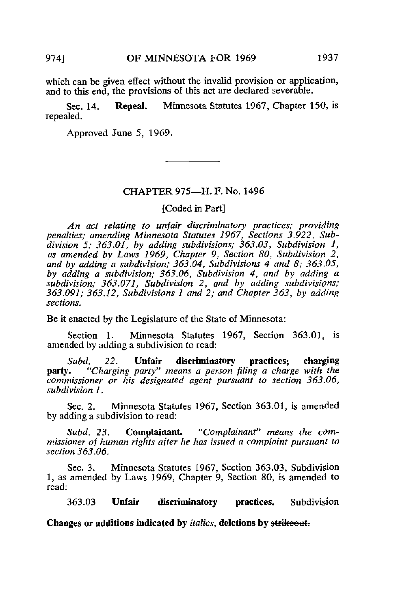which can be given effect without the invalid provision or application, and to this end, the provisions of this act are declared severable.

Sec. 14. Repeal. Minnesota Statutes 1967, Chapter 150, is repealed.

Approved June 5, 1969.

### CHAPTER 975—H. F. No. 1496

[Coded in Part]

An act relating to unfair discriminatory practices; providing penalties; amending Minnesota Statutes 1967, Sections 3.922, Subdivision 5; 363.01, by adding subdivisions; 363.03, Subdivision 1, as amended by Laws 1969, Chapter 9, Section 80, Subdivision 2, and by adding a subdivision;  $363.04$ , Subdivisions 4 and 8;  $363.05$ , by adding a subdivision; 363.06, Subdivision 4, and by adding a subdivision; 363.071, Subdivision 2, and by adding subdivisions; 363.091; 363.12, Subdivisions 1 and 2; and Chapter 363, by adding sections.

Be it enacted by the Legislature of the State of Minnesota:

Section 1. Minnesota Statutes 1967, Section 363.01, is amended by adding a subdivision to read:

Subd. 22. Unfair discriminatory practices; charging party. "Charging party" means a person filing a charge with the commissioner or his designated agent pursuant to section 363.06, subdivision 1.

Sec. 2. Minnesota Statutes 1967, Section 363.01, is amended by adding a subdivision to read:

Subd. 23. Complainant. "Complainant" means the commissioner of human rights after he has issued a complaint pursuant to section 363.06.

Sec. 3. Minnesota Statutes 1967, Section 363.03, Subdivision 1, as amended by Laws 1969, Chapter 9, Section 80, is amended to read:

363.03 Unfair discriminatory practices. Subdivision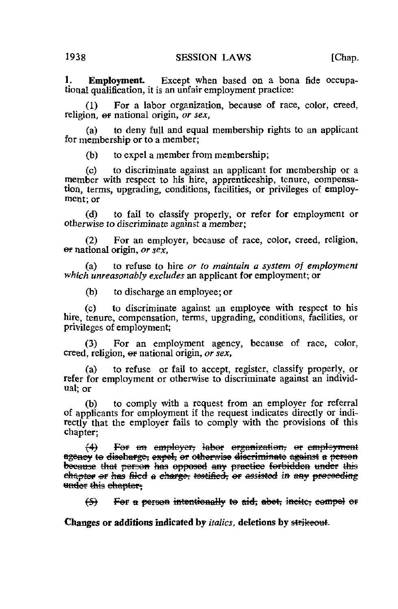**Employment.** Except when based on a bona fide occupa- $\mathbf{1}$ . tional qualification, it is an unfair employment practice:

For a labor organization, because of race, color, creed,  $(1)$ religion, or national origin, or sex.

to deny full and equal membership rights to an applicant  $(a)$ for membership or to a member;

to expel a member from membership;  $(b)$ 

 $(c)$ to discriminate against an applicant for membership or a member with respect to his hire, apprenticeship, tenure, compensation, terms, upgrading, conditions, facilities, or privileges of employment: or

to fail to classify properly, or refer for employment or (d) otherwise to discriminate against a member;

For an employer, because of race, color, creed, religion,  $(2)$  $\Theta$  national origin, or  $s$ ex.

to refuse to hire or to maintain a system of employment  $(a)$ which unreasonably excludes an applicant for employment; or

to discharge an employee; or (b)

 $(c)$ to discriminate against an employee with respect to his hire, tenure, compensation, terms, upgrading, conditions, facilities, or privileges of employment;

For an employment agency, because of race, color,  $(3)$ creed, religion, or national origin, or sex,

to refuse or fail to accept, register, classify properly, or  $(a)$ refer for employment or otherwise to discriminate against an individual or

to comply with a request from an employer for referral (b) of applicants for employment if the request indicates directly or indirectly that the employer fails to comply with the provisions of this chapter;

 $\leftrightarrow$ For an employer, labor organization, or employment agency to discharge, expel, or otherwise discriminate against a person because that person has opposed any practice forbidden under this chapter or has filed a charge, testified, or assisted in any proceeding under this chapter.

For a person intentionally to aid, abet, incite, compel or ⇔

Changes or additions indicated by *italics*, deletions by strikeout.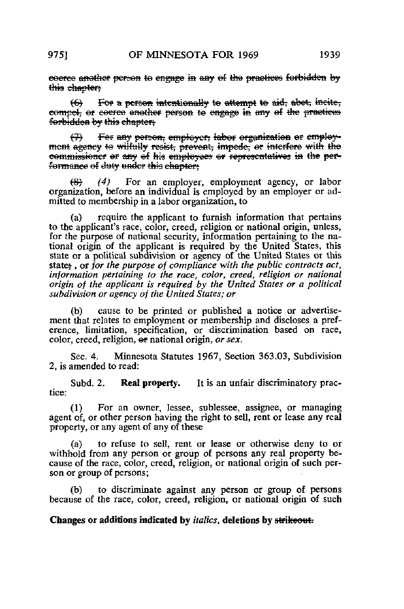eoeree another person to engage in any of the practices forbidden by this chapter:

For a person intentionally to attempt to aid, abot, incite,  $\leftrightarrow$ compel, or escree another person to engage in any of the practices forbidden by this chapter.

Fer any person, employer, labor organization or employ- $\leftrightarrow$ mont agency to wilfully resist, prevent, impede, or interfere with the commissioner or any of his employees or representatives in the performance of duty under this chapter.

 $(4)$ For an employer, employment agency, or labor æ organization, before an individual is employed by an employer or admitted to membership in a labor organization, to

 $(a)$ require the applicant to furnish information that pertains to the applicant's race, color, creed, religion or national origin, unless, for the purpose of national security, information pertaining to the national origin of the applicant is required by the United States, this state or a political subdivision or agency of the United States or this state: or for the purpose of compliance with the public contracts act. information pertaining to the race, color, creed, religion or national origin of the applicant is required by the United States or a political subdivision or agency of the United States; or

cause to be printed or published a notice or advertise-(b) ment that relates to employment or membership and discloses a preference, limitation, specification, or discrimination based on race, color, creed, religion, or national origin, or sex.

Sec. 4. Minnesota Statutes 1967, Section 363.03, Subdivision 2, is amended to read:

Subd. 2. Real property. It is an unfair discriminatory practice:

For an owner, lessee, sublessee, assignee, or managing  $(1)$ agent of, or other person having the right to sell, rent or lease any real property, or any agent of any of these

to refuse to sell, rent or lease or otherwise deny to or  $(a)$ withhold from any person or group of persons any real property because of the race, color, creed, religion, or national origin of such person or group of persons;

 $(b)$ to discriminate against any person or group of persons because of the race, color, creed, religion, or national origin of such

Changes or additions indicated by *italics*, deletions by strikeout.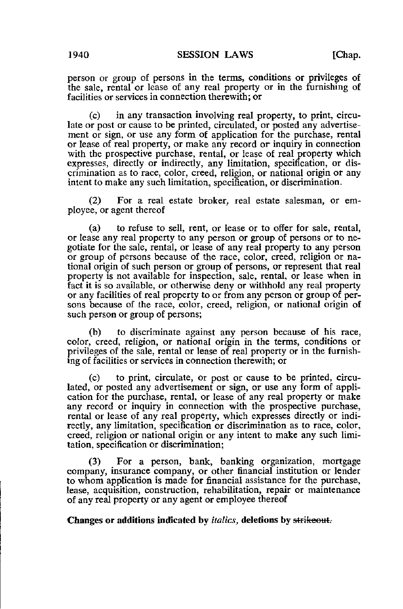person or group of persons in the terms, conditions or privileges of the sale, rental or lease of any real property or in the furnishing of facilities or services in connection therewith; or

(c) in any transaction involving real property, to print, circulate or post or cause to be printed, circulated, or posted any advertisement or sign, or use any form of application for the purchase, rental or lease of real property, or make any record or inquiry in connection with the prospective purchase, rental, or lease of real property which expresses, directly or indirectly, any limitation, specification, or discrimination as to race, color, creed, religion, or national origin or any intent to make any such limitation, specification, or discrimination.

(2) For a real estate broker, real estate salesman, or employee, or agent thereof

(a) to refuse to sell, rent, or lease or to offer for sale, rental, or lease any real property to any person or group of persons or to negotiate for the sale, rental, or lease of any real property to any person or group of persons because of the race, color, creed, religion or national origin of such person or group of persons, or represent that real property is not available for inspection, sale, rental, or lease when in fact it is so available, or otherwise deny or withhold any real property or any facilities of real property to or from any person or group of persons because of the race, color, creed, religion, or national origin of such person or group of persons;

(b) to discriminate against any person because of his race, color, creed, religion, or national origin in the terms, conditions or privileges of the sale, rental or lease of real property or in the furnishing of facilities or services in connection therewith; or

(c) to print, circulate, or post or cause to be printed, circulated, or posted any advertisement or sign, or use any form of application for the purchase, rental, or lease of any real property or make any record or inquiry in connection with the prospective purchase, rental or lease of any real property, which expresses directly or indirectly, any limitation, specification or discrimination as to race, color, creed, religion or national origin or any intent to make any such limitation, specification or discrimination;

(3) For a person, bank, banking organization, mortgage company, insurance company, or other financial institution or lender to whom application is made for financial assistance for the purchase, lease, acquisition, construction, rehabilitation, repair or maintenance of any real property or any agent or employee thereof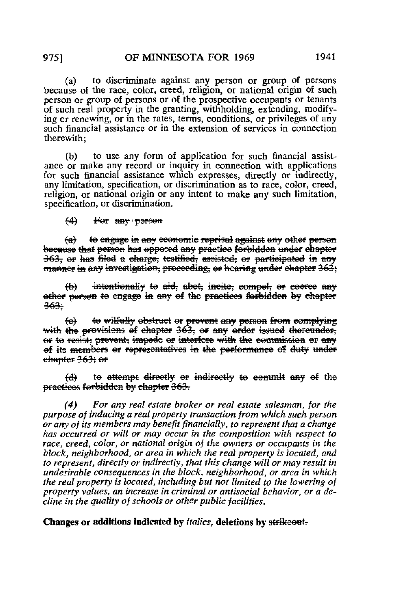to discriminate against any person or group of persons  $(a)$ because of the race, color, creed, religion, or national origin of such person or group of persons or of the prospective occupants or tenants of such real property in the granting, withholding, extending, modifying or renewing, or in the rates, terms, conditions, or privileges of any such financial assistance or in the extension of services in connection therewith:

(b) to use any form of application for such financial assistance or make any record or inquiry in connection with applications for such financial assistance which expresses, directly or indirectly, any limitation, specification, or discrimination as to race, color, creed, religion, or national origin or any intent to make any such limitation. specification, or discrimination.

 $(4)$ For any person

to engage in any economic reprisal against any other person  $\leftrightarrow$ because that person has opposed any practice forbidden under chapter 363, or has filed a charge, testified, assisted, or participated in any manner in any investigation, proceeding, or hearing under chapter 363;

intentionally to aid, abet, incite, compel, or coerce any  $\leftrightarrow$ other person to engage in any of the practices forbidden by chapter  $363 -$ 

to wilfully obstruct or provent any person from complying  $\leftrightarrow$ with the provisions of chapter 363, or any order issued thereunder, or to resist; prevent, impede or interfere with the commission or any of its members or representatives in the performance of duty under chapter 263; er

to attempt directly or indirectly to eemmit any of the  $\Theta$ practices forbidden by chapter 363.

For any real estate broker or real estate salesman, for the  $(4)$ purpose of inducing a real property transaction from which such person or any of its members may benefit financially, to represent that a change has occurred or will or may occur in the composition with respect to race, creed, color, or national origin of the owners or occupants in the block, neighborhood, or area in which the real property is located, and to represent, directly or indirectly, that this change will or may result in undesirable consequences in the block, neighborhood, or area in which the real property is located, including but not limited to the lowering of property values, an increase in criminal or antisocial behavior, or a decline in the quality of schools or other public facilities.

Changes or additions indicated by *italics*, deletions by strikeout-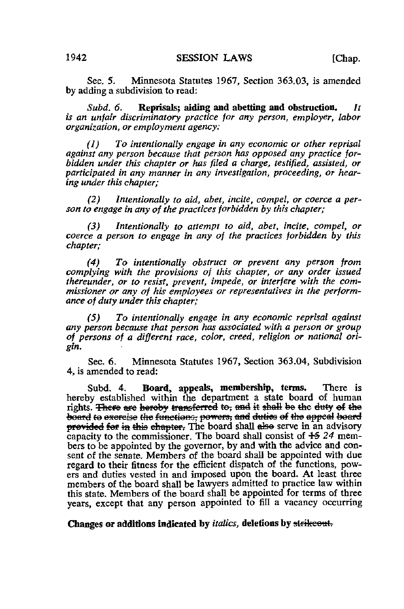Sec, 5. Minnesota Statutes 1967, Section 363.03, is amended by adding a subdivision to read:

Subd. 6. Reprisals; aiding and abetting and obstruction. It is an unfair discriminatory practice for any person, employer, labor organization, or employment agency:

(1) To intentionally engage in any economic or other reprisal against any person because that person has opposed any practice forbidden under this chapter or has filed a charge, testified, assisted, or participated in any manner in any investigation, proceeding, or hearing under this chapter;

(2) Intentionally to aid, abet, incite, compel, or coerce a person to engage in any of the practices forbidden by this chapter;

(3) Intentionally to attempt to aid, abet, incite, compel, or coerce a person to engage in any of the practices forbidden by this chapter;

(4) To intentionally obstruct or prevent any person from complying with the provisions of this chapter, or any order issued thereunder, or to resist, prevent, impede, or interfere with the commissioner or any of his employees or representatives in the performance of duty under this chapter;

(5) To intentionally engage in any economic reprisal against any person because that person has associated with a person or group of persons of a different race, color, creed, religion or national origin.

Sec. 6. Minnesota Statutes 1967, Section 363.04, Subdivision 4, is amended to read:

Subd. 4. Board, appeals, membership, terms. There is hereby established within the department a state board of human rights. There are hereby transferred to, and it shall be the duty of the board to exercise the functions, powers, and duties of the appeal board provided for in this chapter. The board shall also serve in an advisory capacity to the commissioner. The board shall consist of  $+5$  24 members to be appointed by the governor, by and with the advice and consent of the senate. Members of the board shall be appointed with due regard to their fitness for the efficient dispatch of the functions, powers and duties vested in and imposed upon the board. At least three members of the board shall be lawyers admitted to practice law within this state. Members of the board shall be appointed for terms of three years, except that any person appointed to fill a vacancy occurring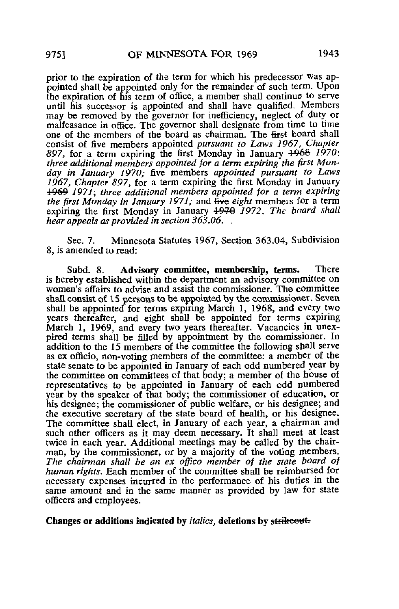prior to the expiration of the term for which his predecessor was appointed shall be appointed only for the remainder of such term. Upon the expiration of his term of office, a member shall continue to serve until his successor is appointed and shall have qualified. Members may be removed by the governor for inefficiency, neglect of duty or malfeasance in office. The governor shall designate from time to time one of the members of the board as chairman. The first board shall consist of five members appointed pursuant to Laws 1967, Chapter 897, for a term expiring the first Monday in January  $\frac{1968}{1970}$ ; three additional members appointed for a term expiring the first Monday in January 1970; five members appointed pursuant to Laws 1967, Chapter 897, for a term expiring the first Monday in January 1969 1971\ three additional members appointed for a term expiring the first Monday in January 1971; and five eight members for a term expiring the first Monday in January 4970 1972. The board shall hear appeals as provided in section  $363.06.$ .

Sec. 7. Minnesota Statutes 1967, Section 363.04, Subdivision 8, is amended to read:

Subd. 8. Advisory committee, membership, terms. There is hereby established within the department an advisory committee on women's affairs to advise and assist the commissioner. The committee shall consist of 15 persons to be appointed by the commissioner. Seven shall be appointed for terms expiring March 1, 1968, and every two years thereafter, and eight shall be appointed for terms expiring March 1, 1969, and every two years thereafter. Vacancies in unexpired terms shall be filled by appointment by the commissioner. In addition to the 15 members of the committee the following shall serve as ex officio, non-voting members of the committee: a member of the state senate to be appointed in January of each odd numbered year by the committee on committees of that body; a member of the house of representatives to be appointed in January of each odd numbered year by the speaker of that body; the commissioner of education, or his designee; the commissioner of public welfare, or his designee; and the executive secretary of the state board of health, or his designee. The committee shall elect, in January of each year, a chairman and such other officers as it may deem necessary. It shall meet at least twice in each year. Additional meetings may be called by the chairman, by the commissioner, or by a majority of the voting members. The chairman shall be an ex offico member of the state board of human rights. Each member of the committee shall be reimbursed for necessary expenses incurred in the performance of his duties in the same amount and in the same manner as provided by law for state officers and employees.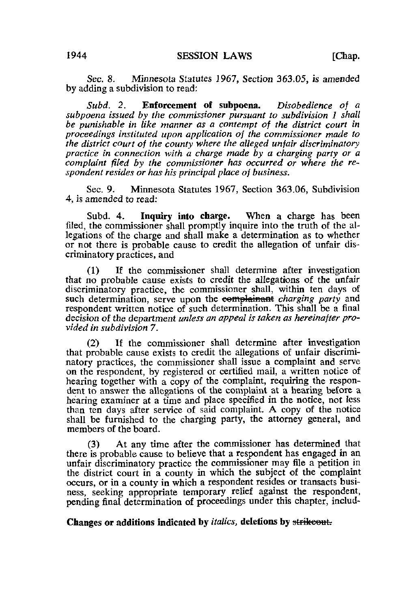Sec. 8. Minnesota Statutes 1967, Section 363.05, is amended by adding a subdivision to read:

Subd. 2. Enforcement of subpoena. Disobedience of a subpoena issued by the commissioner pursuant to subdivision 1 shall be punishable in like manner as a contempt of the district court in proceedings instituted upon application of the commissioner made to the district court of the county where the alleged unfair discriminatory practice in connection with a charge made by a charging party or a complaint filed by the commissioner has occurred or where the respondent resides or has his principal place of business.

Sec. 9. Minnesota Statutes 1967, Section 363.06, Subdivision 4, is amended to read:

Subd. 4. Inquiry into charge. When a charge has been filed, the commissioner shall promptly inquire into the truth of the allegations of the charge and shall make a determination as to whether or not there is probable cause to credit the allegation of unfair discriminatory practices, and

(1) If the commissioner shall determine after investigation that no probable cause exists to credit the allegations of the unfair discriminatory practice, the commissioner shall, within ten days of such determination, serve upon the complainant charging party and respondent written notice of such determination. This shall be a final decision of the department unless an appeal is taken as hereinafter provided in subdivision 7.

If the commissioner shall determine after investigation that probable cause exists to credit the allegations of unfair discriminatory practices, the commissioner shall issue a complaint and serve on the respondent, by registered or certified mail, a written notice of hearing together with a copy of the complaint, requiring the respondent to answer the allegations of the complaint at a hearing before a hearing examiner at a time and place specified in the notice, not less than ten days after service of said complaint. A copy of the notice shall be furnished to the charging party, the attorney general, and members of the board.

(3) At any time after the commissioner has determined that there is probable cause to believe that a respondent has engaged in an unfair discriminatory practice the commissioner may file a petition in the district court in a county in which the subject of the complaint occurs, or in a county in which a respondent resides or transacts business, seeking appropriate temporary relief against the respondent, pending final determination of proceedings under this chapter, includ-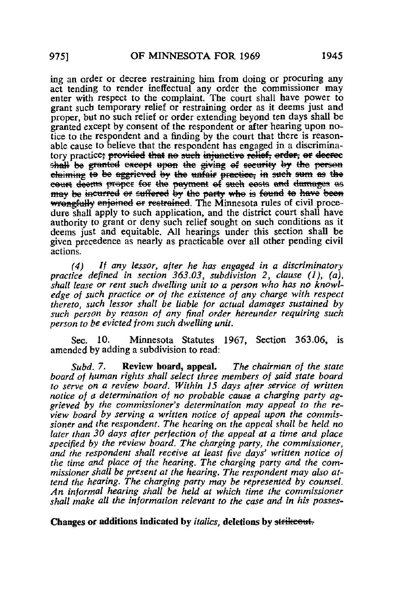ing an order or decree restraining him from doing or procuring any act tending to render ineffectual any order the commissioner may enter with respect to the complaint. The court shall have power to grant such temporary relief or restraining order as it deems just and proper, but no such relief or order extending beyond ten days shall be granted except by consent of the respondent or after hearing upon notice to the respondent and a finding by the court that there is reasonable cause to believe that the respondent has engaged in a discriminatory practice; provided that no such injunctive relief, order, or decree shall be granted except upon the giving of security by the person claiming to be aggrieved by the unfair practice, in such sum as the court deems proper for the payment of such easts and damages as<br>may be incurred or suffered by the party who is found to have been wrongfully enjoined or restrained. The Minnesota rules of civil procedure shall apply to such application, and the district court shall have authority to grant or deny such relief sought on such conditions as it deems just and equitable. All hearings under this section shall be given precedence as nearly as practicable over all other pending civil actions.

If any lessor, after he has engaged in a discriminatory  $(4)$ practice defined in section  $363.03$ , subdivision 2, clause (1), (a), shall lease or rent such dwelling unit to a person who has no knowledge of such practice or of the existence of any charge with respect thereto, such lessor shall be liable for actual damages sustained by such person by reason of any final order hereunder requiring such person to be evicted from such dwelling unit.

Sec. 10. Minnesota Statutes 1967, Section 363.06, is amended by adding a subdivision to read:

 $Subd.7$ Review board, appeal. The chairman of the state board of human rights shall select three members of said state board to serve on a review board. Within 15 days after service of written notice of a determination of no probable cause a charging party aggrieved by the commissioner's determination may appeal to the review board by serving a written notice of appeal upon the commissioner and the respondent. The hearing on the appeal shall be held no later than 30 days after perfection of the appeal at a time and place specified by the review board. The charging party, the commissioner, and the respondent shall receive at least five days' written notice of the time and place of the hearing. The charging party and the commissioner shall be present at the hearing. The respondent may also attend the hearing. The charging party may be represented by counsel. An informal hearing shall be held at which time the commissioner shall make all the information relevant to the case and in his posses-

### Changes or additions indicated by *italics*, deletions by strikeout.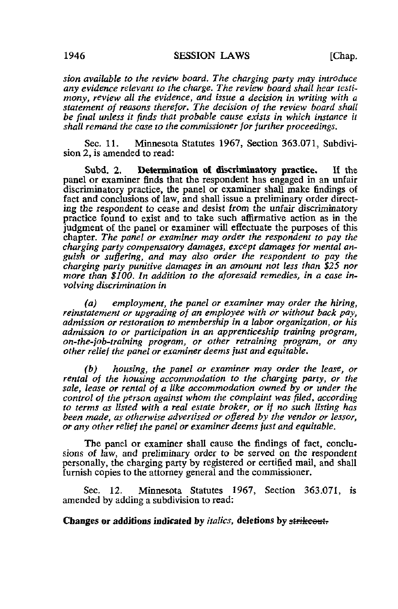sion available to the review board. The charging party may introduce any evidence relevant to the charge. The review board shall hear testimony, review all the evidence, and issue a decision in writing with a statement of reasons therefor. The decision of the review board shall be final unless it finds that probable cause exists in which instance it shall remand the case to the commissioner for further proceedings.

Sec. 11. Minnesota Statutes 1967, Section 363.071, Subdivision 2, is amended to read:

Subd. 2. Determination of discriminatory practice. If the panel or examiner finds that the respondent has engaged in an unfair discriminatory practice, the panel or examiner shall make findings of fact and conclusions of law, and shall issue a preliminary order directing the respondent to cease and desist from the unfair discriminatory practice found to exist and to take such affirmative action as in the judgment of the panel or examiner will effectuate the purposes of this chapter. The panel or examiner may order the respondent to pay the charging party compensatory damages, except damages for mental anguish or suffering, and may also order the respondent to pay the charging party punitive damages in an amount not less than \$25 nor more than \$100. In addition to the aforesaid remedies, in a case involving discrimination in

(a) employment, the panel or examiner may order the hiring, reinstatement or uperading of an employee with or without back pay, admission or restoration to membership in a labor organization, or his admission to or participation in an apprenticeship training program, on-the-job-training program, or other retraining program, or any other relief the panel or examiner deems just and equitable.

(b) housing, the panel or examiner may order the lease, or rental of the housing accommodation to the charging party, or the sale, lease or rental of a like accommodation owned by or under the control of the person against whom the complaint was filed, according to terms as listed with a real estate broker, or if no such listing has been made, as otherwise advertised or offered by the vendor or lessor, or any other relief the panel or examiner deems just and equitable.

The panel or examiner shall cause the findings of fact, conclusions of law, and preliminary order to be served on the respondent personally, the charging party by registered or certified mail, and shall furnish copies to the attorney general and the commissioner.

Sec. 12. Minnesota Statutes 1967, Section 363.071, is amended by adding a subdivision to read: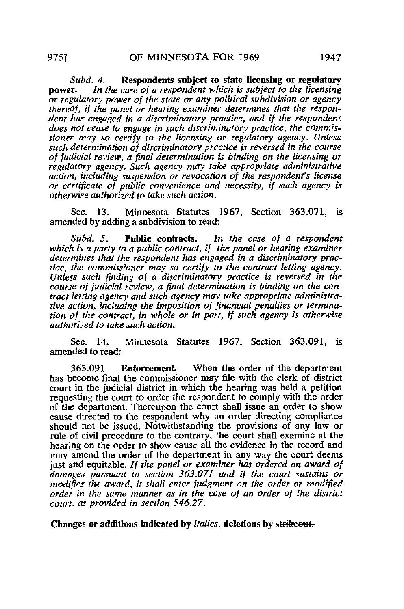Subd. 4. Respondents subject to state licensing or regulatory<br>nower. In the case of a respondent which is subject to the licensing In the case of a respondent which is subject to the licensing or regulatory power of the state or any political subdivision or agency thereof, if the panel or hearing examiner determines that the respondent has engaged in a discriminatory practice, and if the respondent does not cease to engage in such discriminatory practice, the commissioner may so certify to the licensing or regulatory agency. Unless such determination of discriminatory practice is reversed in the course of judicial review, a final determination is binding on the licensing or regulatory agency. Such agency may take appropriate administrative action, including suspension or revocation of the respondent's license or certificate of public convenience and necessity, if such agency is otherwise authorized to take such action.

Sec. 13. Minnesota Statutes 1967, Section 363.071, is amended by adding a subdivision to read:

Subd. 5. **Public contracts.** In the case of a respondent which is a party to a public contract, if the panel or hearing examiner determines that the respondent has engaged in a discriminatory practice, the commissioner may so certify to the contract letting agency. Unless such finding of a discriminatory practice is reversed in the course of judicial review, a final determination is binding on the contract letting agency and such agency may take appropriate administrative action, including the imposition of financial penalties or termination of the contract, in whole or in part, if such agency is otherwise authorized to take such action.

Sec. 14. Minnesota Statutes 1967, Section 363.091, is amended to read:

363.091 Enforcement When the order of the department has become final the commissioner may file with the clerk of district court in the judicial district in which the hearing was held a petition requesting the court to order the respondent to comply with the order of the department. Thereupon the court shall issue an order to show cause directed to the respondent why an order directing compliance should not be issued. Notwithstanding the provisions of any law or rule of civil procedure to the contrary, the court shall examine at the hearing on the order to show cause all the evidence in the record and may amend the order of the department in any way the court deems just and equitable. If the panel or examiner has ordered an award of damages pursuant to section 363.071 and if the court sustains or modifies the award, it shall enter judgment on the order or modified order in the same manner as in the case of an order of the district court, as provided in section 546:27.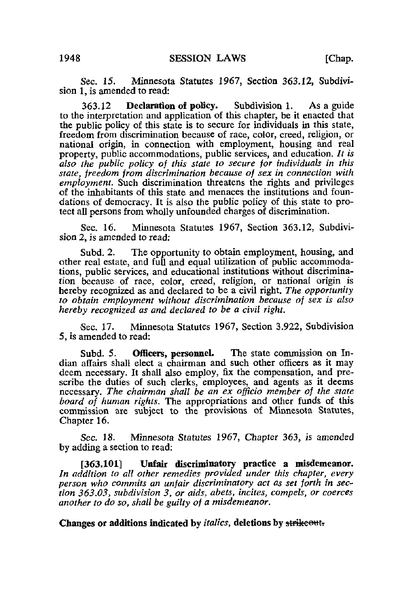Sec. 15. Minnesota Statutes 1967, Section 363.12, Subdivision 1, is amended to read:

363.12 Declaration of policy. Subdivision 1. As a guide to the interpretation and application of this chapter, be it enacted that the public policy of this state is to secure for individuals in this state, freedom from discrimination because of race, color, creed, religion, or national origin, in connection with employment, housing and real property, public accommodations, public services, and education. It is also the public policy of this state to secure for individuals in this state, freedom from discrimination because of sex in connection with employment. Such discrimination threatens the rights and privileges of the inhabitants of this state and menaces the institutions and foundations of democracy. It is also the public policy of this state to protect all persons from wholly unfounded charges of discrimination.

Sec. 16. Minnesota Statutes 1967, Section 363.12, Subdivision 2, is amended to read:

Subd. 2. The opportunity to obtain employment, housing, and other real estate, and full and equal utilization of public accommodations, public services, and educational institutions without discrimination because of race, color, creed, religion, or national origin is hereby recognized as and declared to be a civil right. The opportunity to obtain employment without discrimination because of sex is also hereby recognized as and declared to be a civil right.

Sec. 17. Minnesota Statutes 1967, Section 3.922, Subdivision 5, is amended to read:

Subd. 5. Officers, personnel. The state commission on Indian affairs shall elect a chairman and such other officers as it may deem necessary. It shall also employ, fix the compensation, and prescribe the duties of such clerks, employees, and agents as it deems necessary. The chairman shall be an ex officio member of the state board of human rights. The appropriations and other funds of this commission are subject to the provisions of Minnesota Statutes, Chapter 16.

Sec. 18. Minnesota Statutes 1967, Chapter 363, is amended by adding a section to read:

[363.101] Unfair discriminatory practice a misdemeanor. In addition to all other remedies provided under this chapter, every person who commits an unfair discriminatory act as set forth in section 363.03, subdivision 3, or aids, abets, incites, compels, or coerces another to do so, shall be guilty of a misdemeanor.